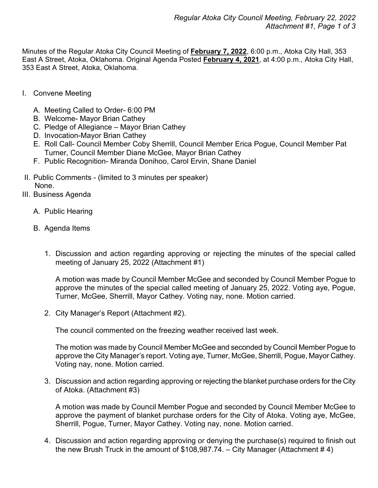Minutes of the Regular Atoka City Council Meeting of **February 7, 2022**, 6:00 p.m., Atoka City Hall, 353 East A Street, Atoka, Oklahoma. Original Agenda Posted **February 4, 2021**, at 4:00 p.m., Atoka City Hall, 353 East A Street, Atoka, Oklahoma.

- I. Convene Meeting
	- A. Meeting Called to Order- 6:00 PM
	- B. Welcome- Mayor Brian Cathey
	- C. Pledge of Allegiance Mayor Brian Cathey
	- D. Invocation-Mayor Brian Cathey
	- E. Roll Call- Council Member Coby Sherrill, Council Member Erica Pogue, Council Member Pat Turner, Council Member Diane McGee, Mayor Brian Cathey
	- F. Public Recognition- Miranda Donihoo, Carol Ervin, Shane Daniel
- II. Public Comments (limited to 3 minutes per speaker) None.
- III. Business Agenda
	- A. Public Hearing
	- B. Agenda Items
		- 1. Discussion and action regarding approving or rejecting the minutes of the special called meeting of January 25, 2022 (Attachment #1)

A motion was made by Council Member McGee and seconded by Council Member Pogue to approve the minutes of the special called meeting of January 25, 2022. Voting aye, Pogue, Turner, McGee, Sherrill, Mayor Cathey. Voting nay, none. Motion carried.

2. City Manager's Report (Attachment #2).

The council commented on the freezing weather received last week.

The motion was made by Council Member McGee and seconded by Council Member Pogue to approve the City Manager's report. Voting aye, Turner, McGee, Sherrill, Pogue, Mayor Cathey. Voting nay, none. Motion carried.

3. Discussion and action regarding approving or rejecting the blanket purchase orders for the City of Atoka. (Attachment #3)

A motion was made by Council Member Pogue and seconded by Council Member McGee to approve the payment of blanket purchase orders for the City of Atoka. Voting aye, McGee, Sherrill, Pogue, Turner, Mayor Cathey. Voting nay, none. Motion carried.

4. Discussion and action regarding approving or denying the purchase(s) required to finish out the new Brush Truck in the amount of \$108,987.74. – City Manager (Attachment #4)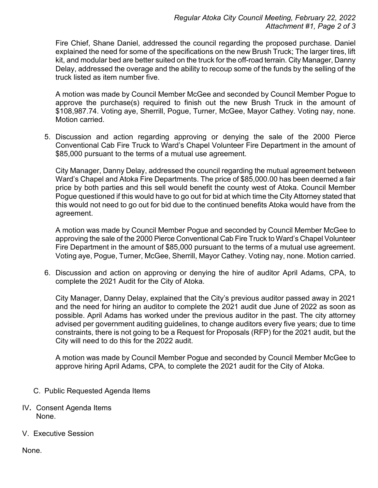Fire Chief, Shane Daniel, addressed the council regarding the proposed purchase. Daniel explained the need for some of the specifications on the new Brush Truck; The larger tires, lift kit, and modular bed are better suited on the truck for the off-road terrain. City Manager, Danny Delay, addressed the overage and the ability to recoup some of the funds by the selling of the truck listed as item number five.

A motion was made by Council Member McGee and seconded by Council Member Pogue to approve the purchase(s) required to finish out the new Brush Truck in the amount of \$108,987.74. Voting aye, Sherrill, Pogue, Turner, McGee, Mayor Cathey. Voting nay, none. Motion carried.

5. Discussion and action regarding approving or denying the sale of the 2000 Pierce Conventional Cab Fire Truck to Ward's Chapel Volunteer Fire Department in the amount of \$85,000 pursuant to the terms of a mutual use agreement.

City Manager, Danny Delay, addressed the council regarding the mutual agreement between Ward's Chapel and Atoka Fire Departments. The price of \$85,000.00 has been deemed a fair price by both parties and this sell would benefit the county west of Atoka. Council Member Pogue questioned if this would have to go out for bid at which time the City Attorney stated that this would not need to go out for bid due to the continued benefits Atoka would have from the agreement.

A motion was made by Council Member Pogue and seconded by Council Member McGee to approving the sale of the 2000 Pierce Conventional Cab Fire Truck to Ward's Chapel Volunteer Fire Department in the amount of \$85,000 pursuant to the terms of a mutual use agreement. Voting aye, Pogue, Turner, McGee, Sherrill, Mayor Cathey. Voting nay, none. Motion carried.

6. Discussion and action on approving or denying the hire of auditor April Adams, CPA, to complete the 2021 Audit for the City of Atoka.

City Manager, Danny Delay, explained that the City's previous auditor passed away in 2021 and the need for hiring an auditor to complete the 2021 audit due June of 2022 as soon as possible. April Adams has worked under the previous auditor in the past. The city attorney advised per government auditing guidelines, to change auditors every five years; due to time constraints, there is not going to be a Request for Proposals (RFP) for the 2021 audit, but the City will need to do this for the 2022 audit.

A motion was made by Council Member Pogue and seconded by Council Member McGee to approve hiring April Adams, CPA, to complete the 2021 audit for the City of Atoka.

- C. Public Requested Agenda Items
- IV**.** Consent Agenda Items None.
- V. Executive Session

None.